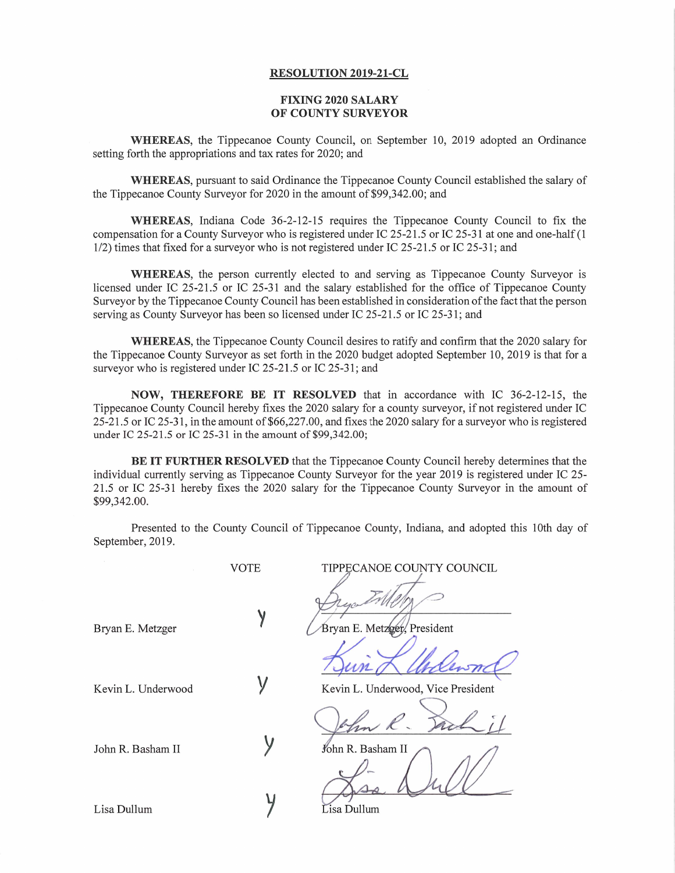## **RESOLUTION 2019-21-CL**

## **FIXING 2020 SALARY OF COUNTY SURVEYOR**

WHEREAS, the Tippecanoe County Council, on September 10, 2019 adopted an Ordinance setting forth the appropriations and tax rates for 2020; and

WHEREAS, pursuan<sup>t</sup> to said Ordinance the Tippecanoe County Council established the salary of the Tippecanoe County Surveyor for 2020 in the amount of \$99,342.00; and

WHEREAS, Indiana Code 36-2-12-15 requires the Tippecanoe County Council to fix the compensation for <sup>a</sup> County Surveyor who is registered under IC 25-21.5 or IC 25-31 at one and one-half (1 1/2) times that fixed for <sup>a</sup> surveyor who is not registered under IC 25-21.5 or IC 25-31; and

WHEREAS, the person currently elected to and serving as Tippecanoe County Surveyor is licensed under IC 25-21.5 or IC 25-31 and the salary established for the office of Tippecanoe County Surveyor by the Tippecanoe County Council has been established in consideration of the fact that the person serving as County Surveyor has been so licensed under IC 25-21.5 or IC 25-31; and

WHEREAS, the Tippecanoe County Council desires to ratify and confirm that the <sup>2020</sup> salary for the Tippecanoe County Surveyor as set forth in the 2020 budget adopted September 10, 2019 is that for <sup>a</sup> surveyor who is registered under IC 25-21.5 or IC 25-31; and

**NOW, THEREFORE BE IT RESOLVED** that in accordance with IC 36-2-12-15, the Tippecanoe County Council hereby fixes the <sup>2020</sup> salary for <sup>a</sup> county surveyor, if not registered under IC 25-21.5 or IC 25-31, in the amount of \$66,227.00, and fixes the <sup>2020</sup> salary for <sup>a</sup> surveyor who is registered under IC 25-21.5 or IC 25-31 in the amount of \$99,342.00;

**BE IT FURTHER RESOLVED** that the Tippecanoe County Council hereby determines that the individual currently serving as Tippecanoe County Surveyor for the year <sup>2019</sup> is registered under IC 25- 21.5 or IC 25-31 hereby fixes the <sup>2020</sup> salary for the Tippecanoe County Surveyor in the amount of \$99,342.00.

Presented to the County Council of Tippecanoe County, Indiana, and adopted this 10th day of September, 2019.

John R. Basham II

Lisa Dullum **y**

VOTE TIPPECANOE COUNTY COUNCIL

Bryan E. Metzger **V** Bryan E. Metzger, President

Kevin L. Underwood  $\mathsf{V}$  Kevin L. Underwood, Vice President

John R. Basham II

Lisa Dullum